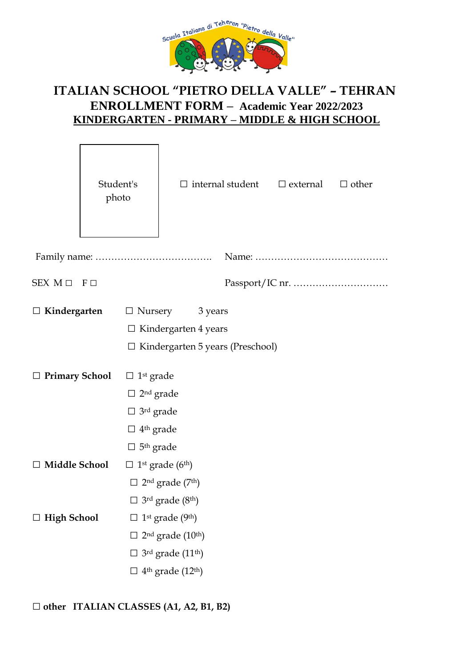

# **ITALIAN SCHOOL "PIETRO DELLA VALLE" – TEHRAN ENROLLMENT FORM – Academic Year 2022/2023 KINDERGARTEN - PRIMARY – MIDDLE & HIGH SCHOOL**

 $\overline{\phantom{0}}$ 

 $\Box$ 

|                           | Student's<br>photo |                                                                                                                                                              |                                                                                                                                                                 | $\Box$ internal student $\Box$ external | $\Box$ other |
|---------------------------|--------------------|--------------------------------------------------------------------------------------------------------------------------------------------------------------|-----------------------------------------------------------------------------------------------------------------------------------------------------------------|-----------------------------------------|--------------|
|                           |                    |                                                                                                                                                              |                                                                                                                                                                 |                                         |              |
| $SEX M \square F \square$ |                    |                                                                                                                                                              |                                                                                                                                                                 |                                         |              |
| $\Box$ Kindergarten       |                    | $\Box$ Nursery                                                                                                                                               | 3 years<br>$\Box$ Kindergarten 4 years<br>$\Box$ Kindergarten 5 years (Preschool)                                                                               |                                         |              |
| $\Box$ Primary School     |                    | $\Box$ 1 <sup>st</sup> grade<br>$\Box$ 2 <sup>nd</sup> grade<br>$\Box$ 3 <sup>rd</sup> grade<br>$\Box$ 4 <sup>th</sup> grade<br>$\Box$ 5 <sup>th</sup> grade |                                                                                                                                                                 |                                         |              |
| □ Middle School           |                    | $\square$ 1 <sup>st</sup> grade (6 <sup>th</sup> )                                                                                                           | $\Box$ 2 <sup>nd</sup> grade (7 <sup>th</sup> )<br>$\Box$ 3 <sup>rd</sup> grade (8 <sup>th</sup> )                                                              |                                         |              |
| $\Box$ High School        |                    |                                                                                                                                                              | $\square$ 1 <sup>st</sup> grade (9 <sup>th</sup> )<br>$2nd$ grade $(10th)$<br>3rd grade (11 <sup>th</sup> )<br>$\Box$ 4 <sup>th</sup> grade (12 <sup>th</sup> ) |                                         |              |

□ **other ITALIAN CLASSES (A1, A2, B1, B2)**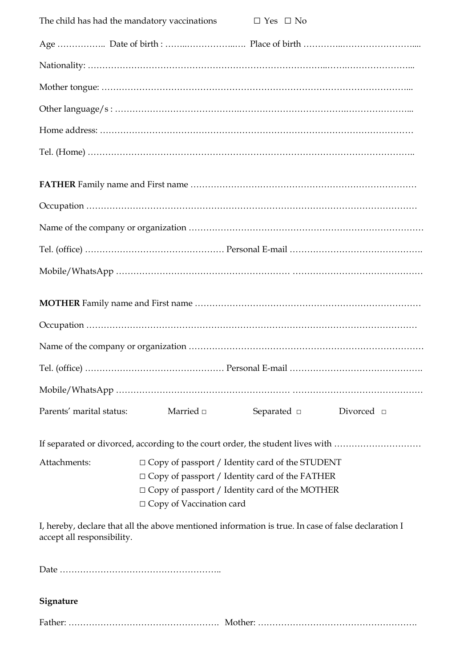| The child has had the mandatory vaccinations |                                                                                                                                                                                                             | $\Box$ Yes $\Box$ No |                 |
|----------------------------------------------|-------------------------------------------------------------------------------------------------------------------------------------------------------------------------------------------------------------|----------------------|-----------------|
|                                              |                                                                                                                                                                                                             |                      |                 |
|                                              |                                                                                                                                                                                                             |                      |                 |
|                                              |                                                                                                                                                                                                             |                      |                 |
|                                              |                                                                                                                                                                                                             |                      |                 |
|                                              |                                                                                                                                                                                                             |                      |                 |
|                                              |                                                                                                                                                                                                             |                      |                 |
|                                              |                                                                                                                                                                                                             |                      |                 |
|                                              |                                                                                                                                                                                                             |                      |                 |
|                                              |                                                                                                                                                                                                             |                      |                 |
|                                              |                                                                                                                                                                                                             |                      |                 |
|                                              |                                                                                                                                                                                                             |                      |                 |
|                                              |                                                                                                                                                                                                             |                      |                 |
|                                              |                                                                                                                                                                                                             |                      |                 |
|                                              |                                                                                                                                                                                                             |                      |                 |
|                                              |                                                                                                                                                                                                             |                      |                 |
|                                              |                                                                                                                                                                                                             |                      |                 |
| Parents' marital status:                     | Married $\Box$                                                                                                                                                                                              | Separated $\square$  | Divorced $\Box$ |
|                                              | If separated or divorced, according to the court order, the student lives with                                                                                                                              |                      |                 |
| Attachments:                                 | $\Box$ Copy of passport / Identity card of the STUDENT<br>$\Box$ Copy of passport / Identity card of the FATHER<br>$\Box$ Copy of passport / Identity card of the MOTHER<br>$\Box$ Copy of Vaccination card |                      |                 |
| accept all responsibility.                   | I, hereby, declare that all the above mentioned information is true. In case of false declaration I                                                                                                         |                      |                 |

Date ………………………………………………..

## **Signature**

Father: ……………………………………………. Mother: ……………………………………………….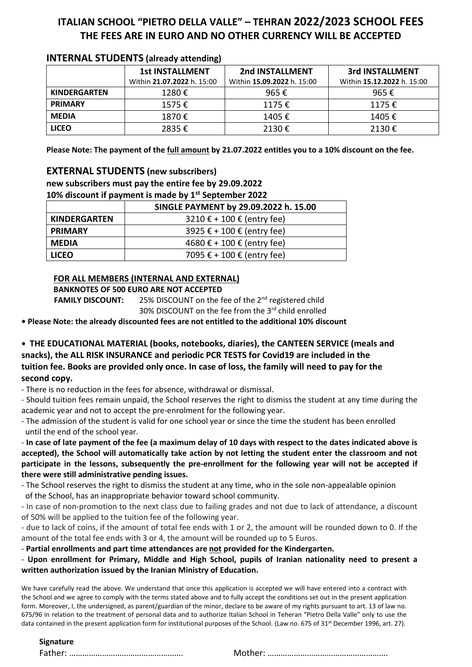## **ITALIAN SCHOOL "PIETRO DELLA VALLE" – TEHRAN 2022/2023 SCHOOL FEES THE FEES ARE IN EURO AND NO OTHER CURRENCY WILL BE ACCEPTED**

| . .                 |                            |                            |                            |  |  |
|---------------------|----------------------------|----------------------------|----------------------------|--|--|
|                     | <b>1st INSTALLMENT</b>     | 2nd INSTALLMENT            | 3rd INSTALLMENT            |  |  |
|                     | Within 21.07.2022 h. 15:00 | Within 15.09.2022 h. 15:00 | Within 15.12.2022 h. 15:00 |  |  |
| <b>KINDERGARTEN</b> | 1280€                      | 965€                       | 965€                       |  |  |
| <b>PRIMARY</b>      | 1575€                      | 1175€                      | 1175€                      |  |  |
| <b>MEDIA</b>        | 1870€                      | 1405€                      | 1405€                      |  |  |
| <b>LICEO</b>        | 2835€                      | 2130€                      | 2130€                      |  |  |

## **INTERNAL STUDENTS (already attending)**

**Please Note: The payment of the full amount by 21.07.2022 entitles you to a 10% discount on the fee.**

## **EXTERNAL STUDENTS (new subscribers)**

**new subscribers must pay the entire fee by 29.09.2022 10% discount if payment is made by 1st September 2022**

|                                                                           | SINGLE PAYMENT by 29.09.2022 h. 15.00 |  |  |
|---------------------------------------------------------------------------|---------------------------------------|--|--|
| $3210 \text{ } \in + 100 \text{ } \in$ (entry fee)<br><b>KINDERGARTEN</b> |                                       |  |  |
| <b>PRIMARY</b>                                                            | 3925 € + 100 € (entry fee)            |  |  |
| <b>MEDIA</b>                                                              | 4680 € + 100 € (entry fee)            |  |  |
| <b>LICEO</b>                                                              | 7095 € + 100 € (entry fee)            |  |  |

## **FOR ALL MEMBERS (INTERNAL AND EXTERNAL)**

**BANKNOTES OF 500 EURO ARE NOT ACCEPTED**

**FAMILY DISCOUNT:** 25% DISCOUNT on the fee of the 2<sup>nd</sup> registered child 30% DISCOUNT on the fee from the 3<sup>rd</sup> child enrolled

**• Please Note: the already discounted fees are not entitled to the additional 10% discount**

**• THE EDUCATIONAL MATERIAL (books, notebooks, diaries), the CANTEEN SERVICE (meals and snacks), the ALL RISK INSURANCE and periodic PCR TESTS for Covid19 are included in the tuition fee. Books are provided only once. In case of loss, the family will need to pay for the second copy.**

- There is no reduction in the fees for absence, withdrawal or dismissal.

- Should tuition fees remain unpaid, the School reserves the right to dismiss the student at any time during the academic year and not to accept the pre-enrolment for the following year.

- The admission of the student is valid for one school year or since the time the student has been enrolled until the end of the school year.

- **In case of late payment of the fee (a maximum delay of 10 days with respect to the dates indicated above is accepted), the School will automatically take action by not letting the student enter the classroom and not participate in the lessons, subsequently the pre-enrollment for the following year will not be accepted if there were still administrative pending issues.**

- The School reserves the right to dismiss the student at any time, who in the sole non-appealable opinion of the School, has an inappropriate behavior toward school community.

- In case of non-promotion to the next class due to failing grades and not due to lack of attendance, a discount of 50% will be applied to the tuition fee of the following year.

- due to lack of coins, if the amount of total fee ends with 1 or 2, the amount will be rounded down to 0. If the amount of the total fee ends with 3 or 4, the amount will be rounded up to 5 Euros.

- **Partial enrollments and part time attendances are not provided for the Kindergarten.**

- **Upon enrollment for Primary, Middle and High School, pupils of Iranian nationality need to present a written authorization issued by the Iranian Ministry of Education.**

We have carefully read the above. We understand that once this application is accepted we will have entered into a contract with the School and we agree to comply with the terms stated above and to fully accept the conditions set out in the present application form. Moreover, I, the undersigned, as parent/guardian of the minor, declare to be aware of my rights pursuant to art. 13 of law no. 675/96 in relation to the treatment of personal data and to authorize Italian School in Teheran "Pietro Della Valle" only to use the data contained in the present application form for institutional purposes of the School. (Law no. 675 of 31<sup>st</sup> December 1996, art. 27).

#### **Signature**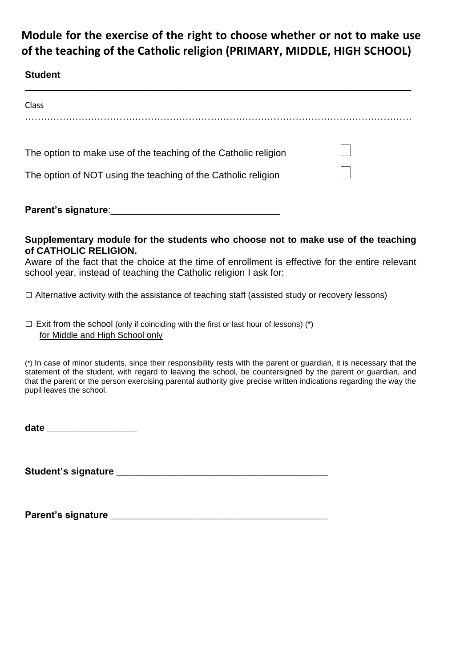# **Module for the exercise of the right to choose whether or not to make use of the teaching of the Catholic religion (PRIMARY, MIDDLE, HIGH SCHOOL)**

## **Student**

| Class                                                           |  |
|-----------------------------------------------------------------|--|
|                                                                 |  |
| The option to make use of the teaching of the Catholic religion |  |
| The option of NOT using the teaching of the Catholic religion   |  |
| Parent's signature:                                             |  |

**Supplementary module for the students who choose not to make use of the teaching of CATHOLIC RELIGION.**

Aware of the fact that the choice at the time of enrollment is effective for the entire relevant school year, instead of teaching the Catholic religion I ask for:

□ Alternative activity with the assistance of teaching staff (assisted study or recovery lessons)

 $\square$  Exit from the school (only if coinciding with the first or last hour of lessons) (\*) for Middle and High School only

(\*) In case of minor students, since their responsibility rests with the parent or guardian, it is necessary that the statement of the student, with regard to leaving the school, be countersigned by the parent or guardian, and that the parent or the person exercising parental authority give precise written indications regarding the way the pupil leaves the school.

**date \_\_\_\_\_\_\_\_\_\_\_\_\_\_\_\_\_**

**Student's signature \_\_\_\_\_\_\_\_\_\_\_\_\_\_\_\_\_\_\_\_\_\_\_\_\_\_\_\_\_\_\_\_\_\_\_\_\_\_\_\_**

**Parent's signature \_\_\_\_\_\_\_\_\_\_\_\_\_\_\_\_\_\_\_\_\_\_\_\_\_\_\_\_\_\_\_\_\_\_\_\_\_\_\_\_\_**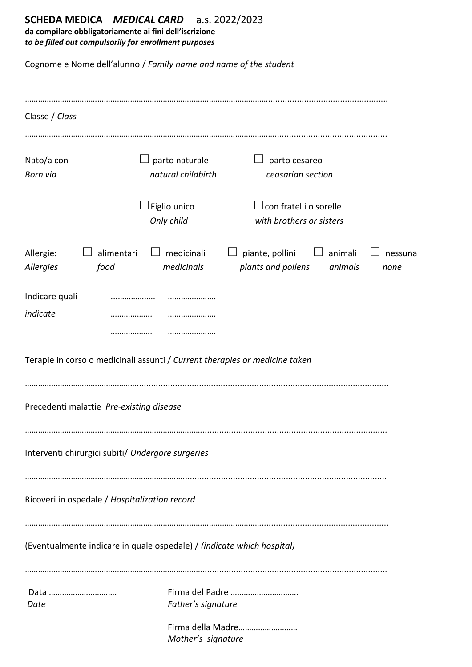## **SCHEDA MEDICA** – *MEDICAL CARD* a.s. 2022/2023

**da compilare obbligatoriamente ai fini dell'iscrizione**  *to be filled out compulsorily for enrollment purposes*

Cognome e Nome dell'alunno / *Family name and name of the student*

| Classe / Class                |                                               |                                                                        |                                                                             |                    |                 |
|-------------------------------|-----------------------------------------------|------------------------------------------------------------------------|-----------------------------------------------------------------------------|--------------------|-----------------|
| Nato/a con<br><b>Born via</b> | $\Box$ parto naturale<br>natural childbirth   |                                                                        | parto cesareo<br>ceasarian section                                          |                    |                 |
|                               |                                               | $\Box$ Figlio unico<br>Only child                                      | $\Box$ con fratelli o sorelle<br>with brothers or sisters                   |                    |                 |
| Allergie:<br>Allergies        | alimentari<br>food                            | medicinali<br>medicinals                                               | piante, pollini<br>plants and pollens                                       | animali<br>animals | nessuna<br>none |
| Indicare quali<br>indicate    |                                               |                                                                        |                                                                             |                    |                 |
|                               |                                               |                                                                        | Terapie in corso o medicinali assunti / Current therapies or medicine taken |                    |                 |
|                               | Precedenti malattie Pre-existing disease      |                                                                        |                                                                             |                    |                 |
|                               |                                               | Interventi chirurgici subiti/ Undergore surgeries                      |                                                                             |                    |                 |
|                               | Ricoveri in ospedale / Hospitalization record |                                                                        |                                                                             |                    |                 |
|                               |                                               | (Eventualmente indicare in quale ospedale) / (indicate which hospital) |                                                                             |                    |                 |
| Data<br>Date                  |                                               | Father's signature                                                     | Firma del Padre                                                             |                    |                 |
|                               |                                               | Mother's signature                                                     | Firma della Madre                                                           |                    |                 |